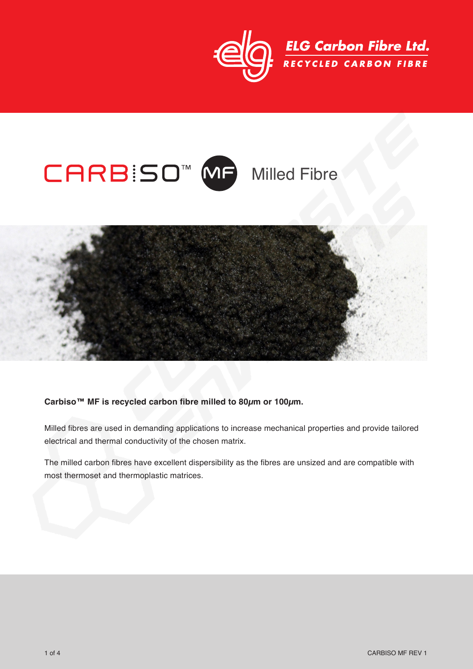

# $CARB:SO^{\mathsf{TM}}$  **MF** Milled Fibre



#### **Carbiso™ MF is recycled carbon fibre milled to 80µm or 100µm.**

Milled fibres are used in demanding applications to increase mechanical properties and provide tailored electrical and thermal conductivity of the chosen matrix.

The milled carbon fibres have excellent dispersibility as the fibres are unsized and are compatible with most thermoset and thermoplastic matrices.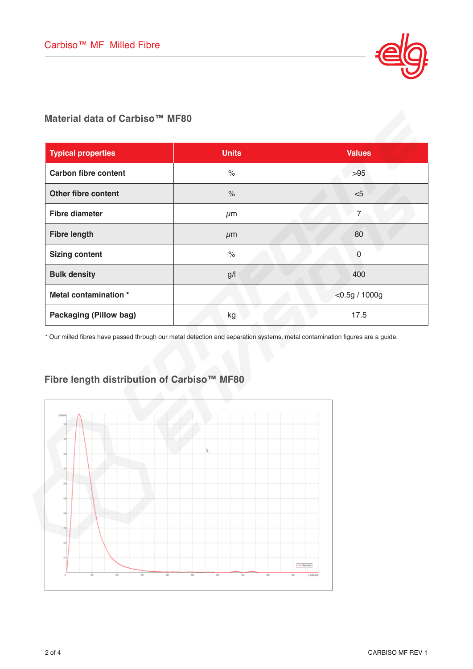

**Material data of Carbiso™ MF80**

| <b>Typical properties</b>     | <b>Units</b>         | <b>Values</b>    |
|-------------------------------|----------------------|------------------|
| <b>Carbon fibre content</b>   | $\%$                 | $>95$            |
| <b>Other fibre content</b>    | $\frac{1}{\sqrt{2}}$ | $<$ 5            |
| <b>Fibre diameter</b>         | $\mu$ m              | $\overline{7}$   |
| <b>Fibre length</b>           | $\mu$ m              | 80               |
| <b>Sizing content</b>         | $\%$                 | $\Omega$         |
| <b>Bulk density</b>           | g/                   | 400              |
| Metal contamination *         |                      | $<$ 0.5g / 1000g |
| <b>Packaging (Pillow bag)</b> | kg                   | 17.5             |

\* Our milled fibres have passed through our metal detection and separation systems, metal contamination figures are a guide.

### **Fibre length distribution of Carbiso™ MF80**

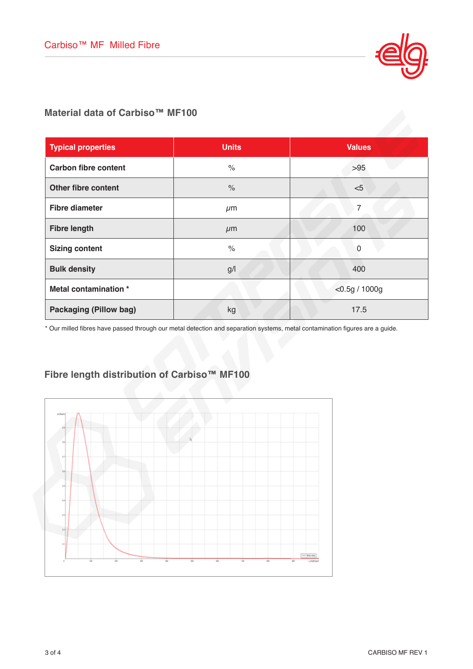

#### **Material data of Carbiso™ MF100**

| <b>Typical properties</b>     | <b>Units</b> | <b>Values</b>    |
|-------------------------------|--------------|------------------|
| <b>Carbon fibre content</b>   | $\%$         | $>95$            |
| <b>Other fibre content</b>    | $\%$         | < 5              |
| <b>Fibre diameter</b>         | $\mu$ m      | 7                |
| <b>Fibre length</b>           | $\mu$ m      | 100              |
| <b>Sizing content</b>         | $\%$         | $\mathbf{0}$     |
| <b>Bulk density</b>           | g/l          | 400              |
| Metal contamination *         |              | $<$ 0.5g / 1000g |
| <b>Packaging (Pillow bag)</b> | kg           | 17.5             |

\* Our milled fibres have passed through our metal detection and separation systems, metal contamination figures are a guide.

## **Fibre length distribution of Carbiso™ MF100**